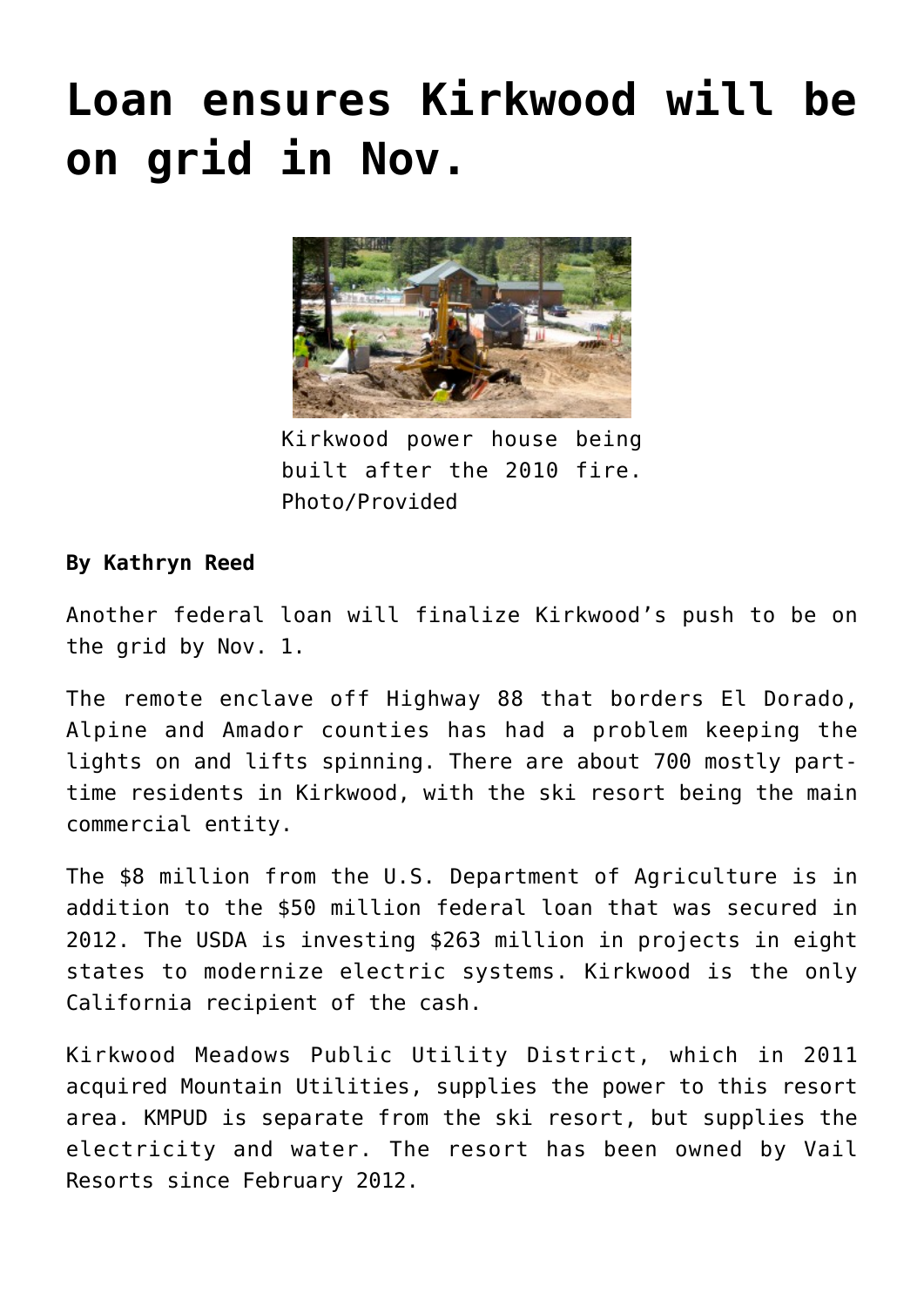## **[Loan ensures Kirkwood will be](https://www.laketahoenews.net/2014/07/loan-ensures-kirkwood-will-be-on-grid-in-nov/) [on grid in Nov.](https://www.laketahoenews.net/2014/07/loan-ensures-kirkwood-will-be-on-grid-in-nov/)**



Kirkwood power house being built after the 2010 fire. Photo/Provided

## **By Kathryn Reed**

Another federal loan will finalize Kirkwood's push to be on the grid by Nov. 1.

The remote enclave off Highway 88 that borders El Dorado, Alpine and Amador counties has had a problem keeping the lights on and lifts spinning. There are about 700 mostly parttime residents in Kirkwood, with the ski resort being the main commercial entity.

The \$8 million from the U.S. Department of Agriculture is in addition to the \$50 million federal loan that was [secured in](https://www.laketahoenews.net/2012/10/federal-loan-enables-kirkwood-to-have-reliable-power-source/) [2012.](https://www.laketahoenews.net/2012/10/federal-loan-enables-kirkwood-to-have-reliable-power-source/) The USDA is investing \$263 million in projects in eight states to modernize electric systems. Kirkwood is the only California recipient of the cash.

Kirkwood Meadows Public Utility District, which in 2011 acquired Mountain Utilities, supplies the power to this resort area. KMPUD is separate from the ski resort, but supplies the electricity and water. The resort has been owned by Vail Resorts since February 2012.